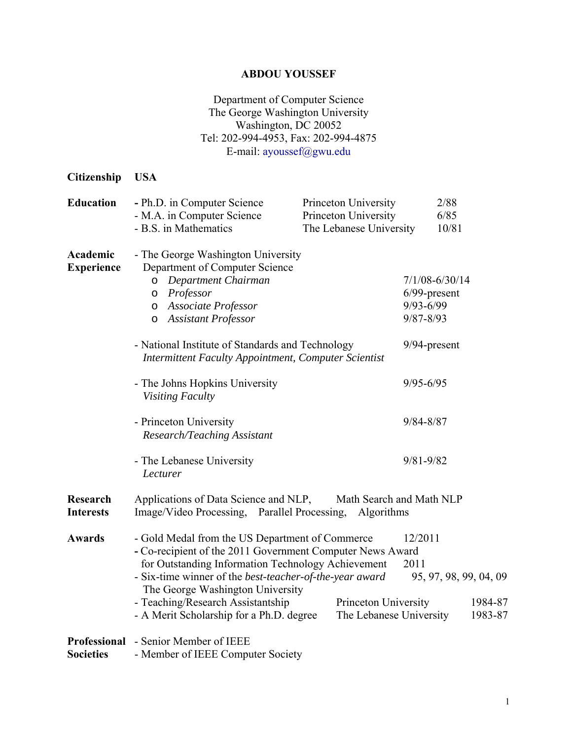## **ABDOU YOUSSEF**

## Department of Computer Science The George Washington University Washington, DC 20052 Tel: 202-994-4953, Fax: 202-994-4875 E-mail: ayoussef@gwu.edu

| Citizenship                             | <b>USA</b>                                                                                                                                                                                                                                                                                                                                                                                                                                                                      |                                                                         |                                                                                                          |
|-----------------------------------------|---------------------------------------------------------------------------------------------------------------------------------------------------------------------------------------------------------------------------------------------------------------------------------------------------------------------------------------------------------------------------------------------------------------------------------------------------------------------------------|-------------------------------------------------------------------------|----------------------------------------------------------------------------------------------------------|
| <b>Education</b>                        | - Ph.D. in Computer Science<br>- M.A. in Computer Science<br>- B.S. in Mathematics                                                                                                                                                                                                                                                                                                                                                                                              | Princeton University<br>Princeton University<br>The Lebanese University | 2/88<br>6/85<br>10/81                                                                                    |
| Academic<br><b>Experience</b>           | - The George Washington University<br>Department of Computer Science<br>Department Chairman<br>O<br>Professor<br>$\circ$<br>Associate Professor<br>$\circ$<br><b>Assistant Professor</b><br>$\circ$<br>- National Institute of Standards and Technology<br><b>Intermittent Faculty Appointment, Computer Scientist</b><br>- The Johns Hopkins University                                                                                                                        |                                                                         | $7/1/08 - 6/30/14$<br>$6/99$ -present<br>$9/93 - 6/99$<br>$9/87 - 8/93$<br>9/94-present<br>$9/95 - 6/95$ |
|                                         | Visiting Faculty<br>- Princeton University<br>Research/Teaching Assistant<br>- The Lebanese University<br>Lecturer                                                                                                                                                                                                                                                                                                                                                              |                                                                         | $9/84 - 8/87$<br>$9/81 - 9/82$                                                                           |
| <b>Research</b><br><b>Interests</b>     | Applications of Data Science and NLP,<br>Math Search and Math NLP<br>Image/Video Processing, Parallel Processing, Algorithms                                                                                                                                                                                                                                                                                                                                                    |                                                                         |                                                                                                          |
| <b>Awards</b>                           | - Gold Medal from the US Department of Commerce<br>12/2011<br>- Co-recipient of the 2011 Government Computer News Award<br>for Outstanding Information Technology Achievement<br>2011<br>- Six-time winner of the <i>best-teacher-of-the-year award</i><br>95, 97, 98, 99, 04, 09<br>The George Washington University<br>- Teaching/Research Assistantship<br>1984-87<br>Princeton University<br>- A Merit Scholarship for a Ph.D. degree<br>The Lebanese University<br>1983-87 |                                                                         |                                                                                                          |
| <b>Professional</b><br><b>Societies</b> | - Senior Member of IEEE<br>- Member of IEEE Computer Society                                                                                                                                                                                                                                                                                                                                                                                                                    |                                                                         |                                                                                                          |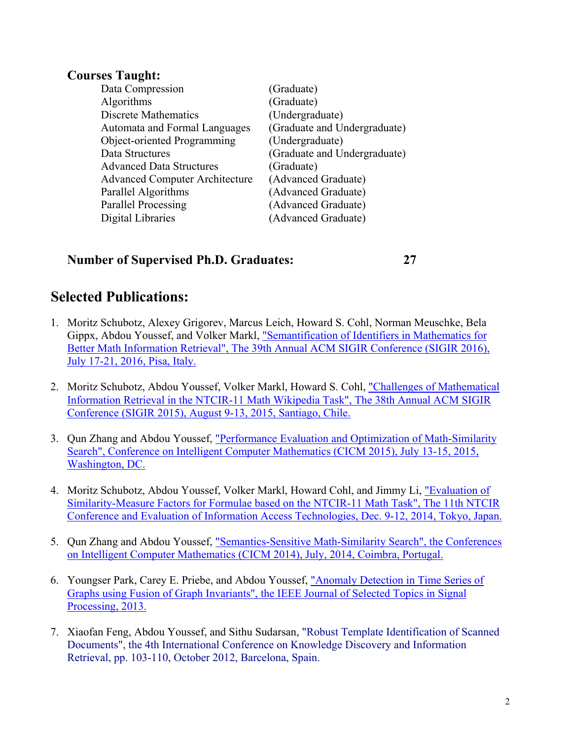## **Courses Taught:**

| (Graduate)                   |
|------------------------------|
| (Graduate)                   |
| (Undergraduate)              |
| (Graduate and Undergraduate) |
| (Undergraduate)              |
| (Graduate and Undergraduate) |
| (Graduate)                   |
| (Advanced Graduate)          |
| (Advanced Graduate)          |
| (Advanced Graduate)          |
| (Advanced Graduate)          |
|                              |

#### **Number of Supervised Ph.D. Graduates: 27**

# **Selected Publications:**

- 1. Moritz Schubotz, Alexey Grigorev, Marcus Leich, Howard S. Cohl, Norman Meuschke, Bela Gippx, Abdou Youssef, and Volker Markl, "Semantification of Identifiers in Mathematics for Better Math Information Retrieval", The 39th Annual ACM SIGIR Conference (SIGIR 2016), July 17-21, 2016, Pisa, Italy.
- 2. Moritz Schubotz, Abdou Youssef, Volker Markl, Howard S. Cohl, "Challenges of Mathematical Information Retrieval in the NTCIR-11 Math Wikipedia Task", The 38th Annual ACM SIGIR Conference (SIGIR 2015), August 9-13, 2015, Santiago, Chile.
- 3. Qun Zhang and Abdou Youssef, "Performance Evaluation and Optimization of Math-Similarity Search", Conference on Intelligent Computer Mathematics (CICM 2015), July 13-15, 2015, Washington, DC.
- 4. Moritz Schubotz, Abdou Youssef, Volker Markl, Howard Cohl, and Jimmy Li, "Evaluation of Similarity-Measure Factors for Formulae based on the NTCIR-11 Math Task", The 11th NTCIR Conference and Evaluation of Information Access Technologies, Dec. 9-12, 2014, Tokyo, Japan.
- 5. Qun Zhang and Abdou Youssef, "Semantics-Sensitive Math-Similarity Search", the Conferences on Intelligent Computer Mathematics (CICM 2014), July, 2014, Coimbra, Portugal.
- 6. Youngser Park, Carey E. Priebe, and Abdou Youssef, "Anomaly Detection in Time Series of Graphs using Fusion of Graph Invariants", the IEEE Journal of Selected Topics in Signal Processing, 2013.
- 7. Xiaofan Feng, Abdou Youssef, and Sithu Sudarsan, "Robust Template Identification of Scanned Documents", the 4th International Conference on Knowledge Discovery and Information Retrieval, pp. 103-110, October 2012, Barcelona, Spain.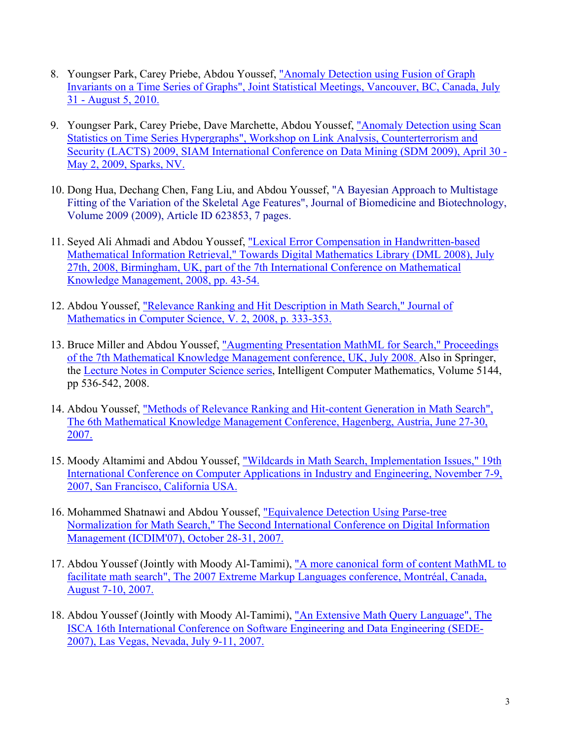- 8. Youngser Park, Carey Priebe, Abdou Youssef, "Anomaly Detection using Fusion of Graph Invariants on a Time Series of Graphs", Joint Statistical Meetings, Vancouver, BC, Canada, July 31 - August 5, 2010.
- 9. Youngser Park, Carey Priebe, Dave Marchette, Abdou Youssef, "Anomaly Detection using Scan Statistics on Time Series Hypergraphs", Workshop on Link Analysis, Counterterrorism and Security (LACTS) 2009, SIAM International Conference on Data Mining (SDM 2009), April 30 - May 2, 2009, Sparks, NV.
- 10. Dong Hua, Dechang Chen, Fang Liu, and Abdou Youssef, "A Bayesian Approach to Multistage Fitting of the Variation of the Skeletal Age Features", Journal of Biomedicine and Biotechnology, Volume 2009 (2009), Article ID 623853, 7 pages.
- 11. Seyed Ali Ahmadi and Abdou Youssef, "Lexical Error Compensation in Handwritten-based Mathematical Information Retrieval," Towards Digital Mathematics Library (DML 2008), July 27th, 2008, Birmingham, UK, part of the 7th International Conference on Mathematical Knowledge Management, 2008, pp. 43-54.
- 12. Abdou Youssef, "Relevance Ranking and Hit Description in Math Search," Journal of Mathematics in Computer Science, V. 2, 2008, p. 333-353.
- 13. Bruce Miller and Abdou Youssef, "Augmenting Presentation MathML for Search," Proceedings of the 7th Mathematical Knowledge Management conference, UK, July 2008. Also in Springer, the Lecture Notes in Computer Science series, Intelligent Computer Mathematics, Volume 5144, pp 536-542, 2008.
- 14. Abdou Youssef, "Methods of Relevance Ranking and Hit-content Generation in Math Search", The 6th Mathematical Knowledge Management Conference, Hagenberg, Austria, June 27-30, 2007.
- 15. Moody Altamimi and Abdou Youssef, "Wildcards in Math Search, Implementation Issues," 19th International Conference on Computer Applications in Industry and Engineering, November 7-9, 2007, San Francisco, California USA.
- 16. Mohammed Shatnawi and Abdou Youssef, "Equivalence Detection Using Parse-tree Normalization for Math Search," The Second International Conference on Digital Information Management (ICDIM'07), October 28-31, 2007.
- 17. Abdou Youssef (Jointly with Moody Al-Tamimi), "A more canonical form of content MathML to facilitate math search", The 2007 Extreme Markup Languages conference, Montréal, Canada, August 7-10, 2007.
- 18. Abdou Youssef (Jointly with Moody Al-Tamimi), "An Extensive Math Query Language", The ISCA 16th International Conference on Software Engineering and Data Engineering (SEDE-2007), Las Vegas, Nevada, July 9-11, 2007.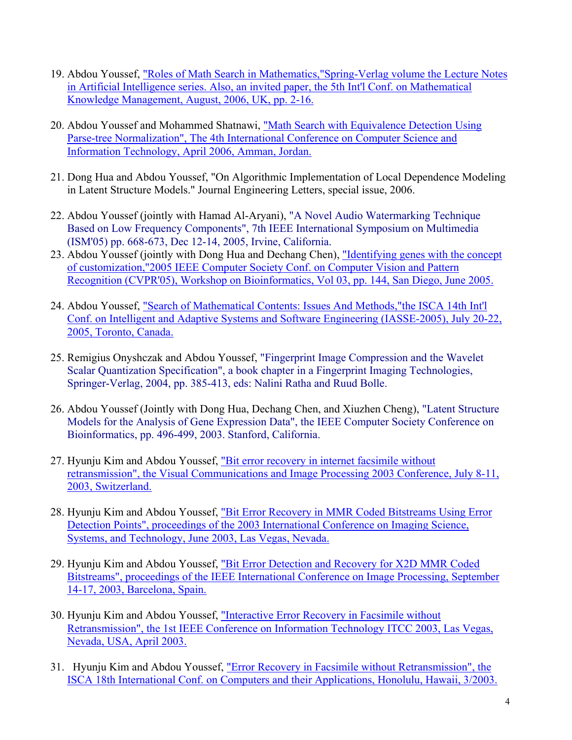- 19. Abdou Youssef, "Roles of Math Search in Mathematics,"Spring-Verlag volume the Lecture Notes in Artificial Intelligence series. Also, an invited paper, the 5th Int'l Conf. on Mathematical Knowledge Management, August, 2006, UK, pp. 2-16.
- 20. Abdou Youssef and Mohammed Shatnawi, "Math Search with Equivalence Detection Using Parse-tree Normalization", The 4th International Conference on Computer Science and Information Technology, April 2006, Amman, Jordan.
- 21. Dong Hua and Abdou Youssef, "On Algorithmic Implementation of Local Dependence Modeling in Latent Structure Models." Journal Engineering Letters, special issue, 2006.
- 22. Abdou Youssef (jointly with Hamad Al-Aryani), "A Novel Audio Watermarking Technique Based on Low Frequency Components", 7th IEEE International Symposium on Multimedia (ISM'05) pp. 668-673, Dec 12-14, 2005, Irvine, California.
- 23. Abdou Youssef (jointly with Dong Hua and Dechang Chen), "Identifying genes with the concept of customization,"2005 IEEE Computer Society Conf. on Computer Vision and Pattern Recognition (CVPR'05), Workshop on Bioinformatics, Vol 03, pp. 144, San Diego, June 2005.
- 24. Abdou Youssef, "Search of Mathematical Contents: Issues And Methods,"the ISCA 14th Int'l Conf. on Intelligent and Adaptive Systems and Software Engineering (IASSE-2005), July 20-22, 2005, Toronto, Canada.
- 25. Remigius Onyshczak and Abdou Youssef, "Fingerprint Image Compression and the Wavelet Scalar Quantization Specification", a book chapter in a Fingerprint Imaging Technologies, Springer-Verlag, 2004, pp. 385-413, eds: Nalini Ratha and Ruud Bolle.
- 26. Abdou Youssef (Jointly with Dong Hua, Dechang Chen, and Xiuzhen Cheng), "Latent Structure Models for the Analysis of Gene Expression Data", the IEEE Computer Society Conference on Bioinformatics, pp. 496-499, 2003. Stanford, California.
- 27. Hyunju Kim and Abdou Youssef, "Bit error recovery in internet facsimile without retransmission", the Visual Communications and Image Processing 2003 Conference, July 8-11, 2003, Switzerland.
- 28. Hyunju Kim and Abdou Youssef, "Bit Error Recovery in MMR Coded Bitstreams Using Error Detection Points", proceedings of the 2003 International Conference on Imaging Science, Systems, and Technology, June 2003, Las Vegas, Nevada.
- 29. Hyunju Kim and Abdou Youssef, "Bit Error Detection and Recovery for X2D MMR Coded Bitstreams", proceedings of the IEEE International Conference on Image Processing, September 14-17, 2003, Barcelona, Spain.
- 30. Hyunju Kim and Abdou Youssef, "Interactive Error Recovery in Facsimile without Retransmission", the 1st IEEE Conference on Information Technology ITCC 2003, Las Vegas, Nevada, USA, April 2003.
- 31. Hyunju Kim and Abdou Youssef, "Error Recovery in Facsimile without Retransmission", the ISCA 18th International Conf. on Computers and their Applications, Honolulu, Hawaii, 3/2003.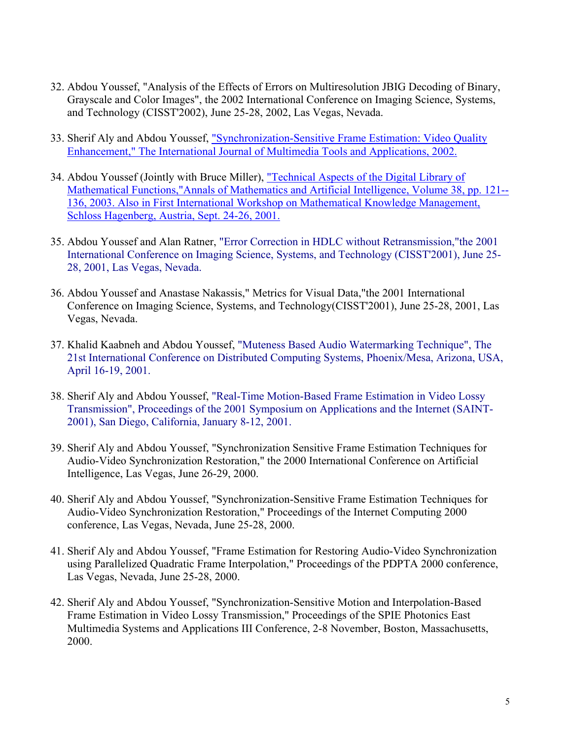- 32. Abdou Youssef, "Analysis of the Effects of Errors on Multiresolution JBIG Decoding of Binary, Grayscale and Color Images", the 2002 International Conference on Imaging Science, Systems, and Technology (CISST'2002), June 25-28, 2002, Las Vegas, Nevada.
- 33. Sherif Aly and Abdou Youssef, "Synchronization-Sensitive Frame Estimation: Video Quality Enhancement," The International Journal of Multimedia Tools and Applications, 2002.
- 34. Abdou Youssef (Jointly with Bruce Miller), "Technical Aspects of the Digital Library of Mathematical Functions,"Annals of Mathematics and Artificial Intelligence, Volume 38, pp. 121-- 136, 2003. Also in First International Workshop on Mathematical Knowledge Management, Schloss Hagenberg, Austria, Sept. 24-26, 2001.
- 35. Abdou Youssef and Alan Ratner, "Error Correction in HDLC without Retransmission,"the 2001 International Conference on Imaging Science, Systems, and Technology (CISST'2001), June 25- 28, 2001, Las Vegas, Nevada.
- 36. Abdou Youssef and Anastase Nakassis," Metrics for Visual Data,"the 2001 International Conference on Imaging Science, Systems, and Technology(CISST'2001), June 25-28, 2001, Las Vegas, Nevada.
- 37. Khalid Kaabneh and Abdou Youssef, "Muteness Based Audio Watermarking Technique", The 21st International Conference on Distributed Computing Systems, Phoenix/Mesa, Arizona, USA, April 16-19, 2001.
- 38. Sherif Aly and Abdou Youssef, "Real-Time Motion-Based Frame Estimation in Video Lossy Transmission", Proceedings of the 2001 Symposium on Applications and the Internet (SAINT-2001), San Diego, California, January 8-12, 2001.
- 39. Sherif Aly and Abdou Youssef, "Synchronization Sensitive Frame Estimation Techniques for Audio-Video Synchronization Restoration," the 2000 International Conference on Artificial Intelligence, Las Vegas, June 26-29, 2000.
- 40. Sherif Aly and Abdou Youssef, "Synchronization-Sensitive Frame Estimation Techniques for Audio-Video Synchronization Restoration," Proceedings of the Internet Computing 2000 conference, Las Vegas, Nevada, June 25-28, 2000.
- 41. Sherif Aly and Abdou Youssef, "Frame Estimation for Restoring Audio-Video Synchronization using Parallelized Quadratic Frame Interpolation," Proceedings of the PDPTA 2000 conference, Las Vegas, Nevada, June 25-28, 2000.
- 42. Sherif Aly and Abdou Youssef, "Synchronization-Sensitive Motion and Interpolation-Based Frame Estimation in Video Lossy Transmission," Proceedings of the SPIE Photonics East Multimedia Systems and Applications III Conference, 2-8 November, Boston, Massachusetts, 2000.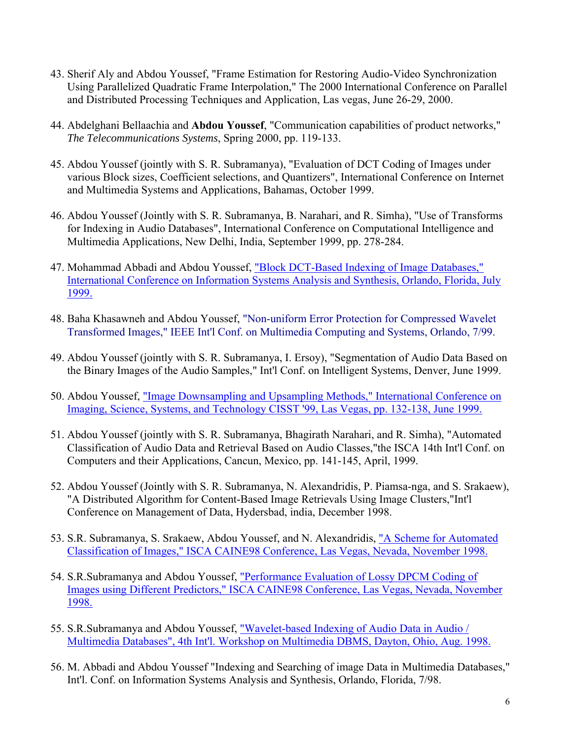- 43. Sherif Aly and Abdou Youssef, "Frame Estimation for Restoring Audio-Video Synchronization Using Parallelized Quadratic Frame Interpolation," The 2000 International Conference on Parallel and Distributed Processing Techniques and Application, Las vegas, June 26-29, 2000.
- 44. Abdelghani Bellaachia and **Abdou Youssef**, "Communication capabilities of product networks," *The Telecommunications Systems*, Spring 2000, pp. 119-133.
- 45. Abdou Youssef (jointly with S. R. Subramanya), "Evaluation of DCT Coding of Images under various Block sizes, Coefficient selections, and Quantizers", International Conference on Internet and Multimedia Systems and Applications, Bahamas, October 1999.
- 46. Abdou Youssef (Jointly with S. R. Subramanya, B. Narahari, and R. Simha), "Use of Transforms for Indexing in Audio Databases", International Conference on Computational Intelligence and Multimedia Applications, New Delhi, India, September 1999, pp. 278-284.
- 47. Mohammad Abbadi and Abdou Youssef, "Block DCT-Based Indexing of Image Databases," International Conference on Information Systems Analysis and Synthesis, Orlando, Florida, July 1999.
- 48. Baha Khasawneh and Abdou Youssef, "Non-uniform Error Protection for Compressed Wavelet Transformed Images," IEEE Int'l Conf. on Multimedia Computing and Systems, Orlando, 7/99.
- 49. Abdou Youssef (jointly with S. R. Subramanya, I. Ersoy), "Segmentation of Audio Data Based on the Binary Images of the Audio Samples," Int'l Conf. on Intelligent Systems, Denver, June 1999.
- 50. Abdou Youssef, "Image Downsampling and Upsampling Methods," International Conference on Imaging, Science, Systems, and Technology CISST '99, Las Vegas, pp. 132-138, June 1999.
- 51. Abdou Youssef (jointly with S. R. Subramanya, Bhagirath Narahari, and R. Simha), "Automated Classification of Audio Data and Retrieval Based on Audio Classes,"the ISCA 14th Int'l Conf. on Computers and their Applications, Cancun, Mexico, pp. 141-145, April, 1999.
- 52. Abdou Youssef (Jointly with S. R. Subramanya, N. Alexandridis, P. Piamsa-nga, and S. Srakaew), "A Distributed Algorithm for Content-Based Image Retrievals Using Image Clusters,"Int'l Conference on Management of Data, Hydersbad, india, December 1998.
- 53. S.R. Subramanya, S. Srakaew, Abdou Youssef, and N. Alexandridis, "A Scheme for Automated Classification of Images," ISCA CAINE98 Conference, Las Vegas, Nevada, November 1998.
- 54. S.R.Subramanya and Abdou Youssef, "Performance Evaluation of Lossy DPCM Coding of Images using Different Predictors," ISCA CAINE98 Conference, Las Vegas, Nevada, November 1998.
- 55. S.R.Subramanya and Abdou Youssef, "Wavelet-based Indexing of Audio Data in Audio / Multimedia Databases", 4th Int'l. Workshop on Multimedia DBMS, Dayton, Ohio, Aug. 1998.
- 56. M. Abbadi and Abdou Youssef "Indexing and Searching of image Data in Multimedia Databases," Int'l. Conf. on Information Systems Analysis and Synthesis, Orlando, Florida, 7/98.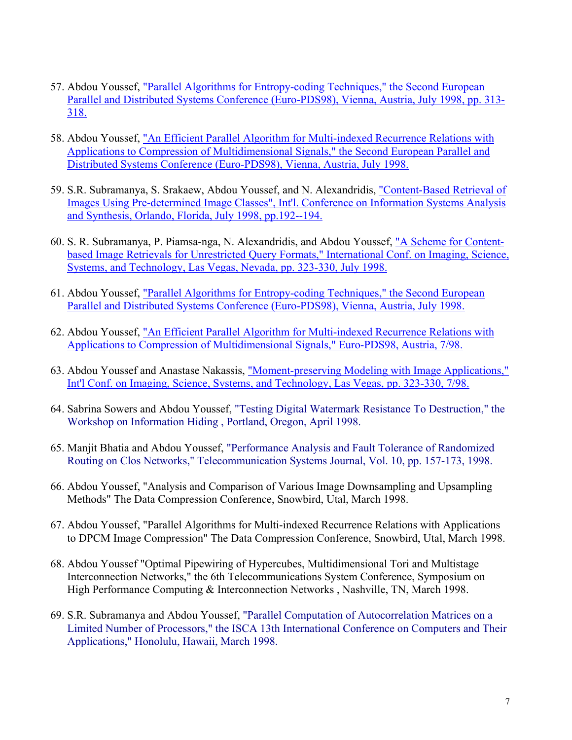- 57. Abdou Youssef, "Parallel Algorithms for Entropy-coding Techniques," the Second European Parallel and Distributed Systems Conference (Euro-PDS98), Vienna, Austria, July 1998, pp. 313- 318.
- 58. Abdou Youssef, "An Efficient Parallel Algorithm for Multi-indexed Recurrence Relations with Applications to Compression of Multidimensional Signals," the Second European Parallel and Distributed Systems Conference (Euro-PDS98), Vienna, Austria, July 1998.
- 59. S.R. Subramanya, S. Srakaew, Abdou Youssef, and N. Alexandridis, "Content-Based Retrieval of Images Using Pre-determined Image Classes", Int'l. Conference on Information Systems Analysis and Synthesis, Orlando, Florida, July 1998, pp.192--194.
- 60. S. R. Subramanya, P. Piamsa-nga, N. Alexandridis, and Abdou Youssef, "A Scheme for Contentbased Image Retrievals for Unrestricted Query Formats," International Conf. on Imaging, Science, Systems, and Technology, Las Vegas, Nevada, pp. 323-330, July 1998.
- 61. Abdou Youssef, "Parallel Algorithms for Entropy-coding Techniques," the Second European Parallel and Distributed Systems Conference (Euro-PDS98), Vienna, Austria, July 1998.
- 62. Abdou Youssef, "An Efficient Parallel Algorithm for Multi-indexed Recurrence Relations with Applications to Compression of Multidimensional Signals," Euro-PDS98, Austria, 7/98.
- 63. Abdou Youssef and Anastase Nakassis, "Moment-preserving Modeling with Image Applications," Int'l Conf. on Imaging, Science, Systems, and Technology, Las Vegas, pp. 323-330, 7/98.
- 64. Sabrina Sowers and Abdou Youssef, "Testing Digital Watermark Resistance To Destruction," the Workshop on Information Hiding , Portland, Oregon, April 1998.
- 65. Manjit Bhatia and Abdou Youssef, "Performance Analysis and Fault Tolerance of Randomized Routing on Clos Networks," Telecommunication Systems Journal, Vol. 10, pp. 157-173, 1998.
- 66. Abdou Youssef, "Analysis and Comparison of Various Image Downsampling and Upsampling Methods" The Data Compression Conference, Snowbird, Utal, March 1998.
- 67. Abdou Youssef, "Parallel Algorithms for Multi-indexed Recurrence Relations with Applications to DPCM Image Compression" The Data Compression Conference, Snowbird, Utal, March 1998.
- 68. Abdou Youssef "Optimal Pipewiring of Hypercubes, Multidimensional Tori and Multistage Interconnection Networks," the 6th Telecommunications System Conference, Symposium on High Performance Computing & Interconnection Networks, Nashville, TN, March 1998.
- 69. S.R. Subramanya and Abdou Youssef, "Parallel Computation of Autocorrelation Matrices on a Limited Number of Processors," the ISCA 13th International Conference on Computers and Their Applications," Honolulu, Hawaii, March 1998.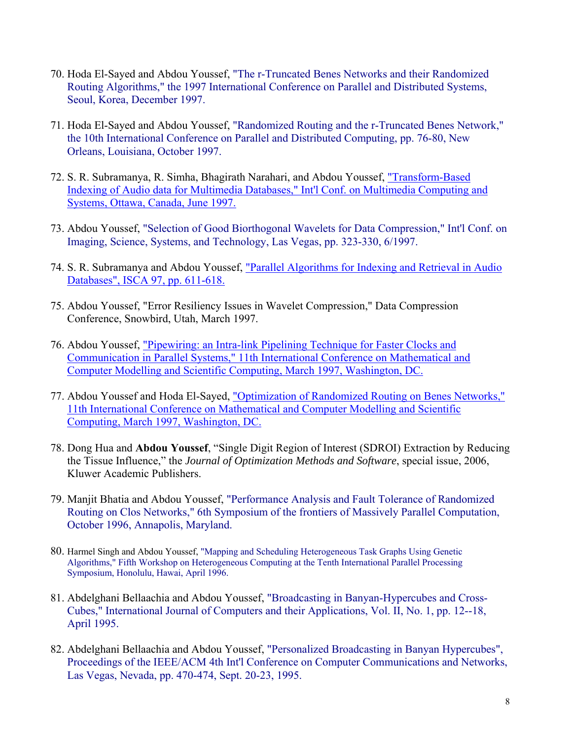- 70. Hoda El-Sayed and Abdou Youssef, "The r-Truncated Benes Networks and their Randomized Routing Algorithms," the 1997 International Conference on Parallel and Distributed Systems, Seoul, Korea, December 1997.
- 71. Hoda El-Sayed and Abdou Youssef, "Randomized Routing and the r-Truncated Benes Network," the 10th International Conference on Parallel and Distributed Computing, pp. 76-80, New Orleans, Louisiana, October 1997.
- 72. S. R. Subramanya, R. Simha, Bhagirath Narahari, and Abdou Youssef, "Transform-Based Indexing of Audio data for Multimedia Databases," Int'l Conf. on Multimedia Computing and Systems, Ottawa, Canada, June 1997.
- 73. Abdou Youssef, "Selection of Good Biorthogonal Wavelets for Data Compression," Int'l Conf. on Imaging, Science, Systems, and Technology, Las Vegas, pp. 323-330, 6/1997.
- 74. S. R. Subramanya and Abdou Youssef, "Parallel Algorithms for Indexing and Retrieval in Audio Databases", ISCA 97, pp. 611-618.
- 75. Abdou Youssef, "Error Resiliency Issues in Wavelet Compression," Data Compression Conference, Snowbird, Utah, March 1997.
- 76. Abdou Youssef, "Pipewiring: an Intra-link Pipelining Technique for Faster Clocks and Communication in Parallel Systems," 11th International Conference on Mathematical and Computer Modelling and Scientific Computing, March 1997, Washington, DC.
- 77. Abdou Youssef and Hoda El-Sayed, "Optimization of Randomized Routing on Benes Networks," 11th International Conference on Mathematical and Computer Modelling and Scientific Computing, March 1997, Washington, DC.
- 78. Dong Hua and **Abdou Youssef**, "Single Digit Region of Interest (SDROI) Extraction by Reducing the Tissue Influence," the *Journal of Optimization Methods and Software*, special issue, 2006, Kluwer Academic Publishers.
- 79. Manjit Bhatia and Abdou Youssef, "Performance Analysis and Fault Tolerance of Randomized Routing on Clos Networks," 6th Symposium of the frontiers of Massively Parallel Computation, October 1996, Annapolis, Maryland.
- 80. Harmel Singh and Abdou Youssef, "Mapping and Scheduling Heterogeneous Task Graphs Using Genetic Algorithms," Fifth Workshop on Heterogeneous Computing at the Tenth International Parallel Processing Symposium, Honolulu, Hawai, April 1996.
- 81. Abdelghani Bellaachia and Abdou Youssef, "Broadcasting in Banyan-Hypercubes and Cross-Cubes," International Journal of Computers and their Applications, Vol. II, No. 1, pp. 12--18, April 1995.
- 82. Abdelghani Bellaachia and Abdou Youssef, "Personalized Broadcasting in Banyan Hypercubes", Proceedings of the IEEE/ACM 4th Int'l Conference on Computer Communications and Networks, Las Vegas, Nevada, pp. 470-474, Sept. 20-23, 1995.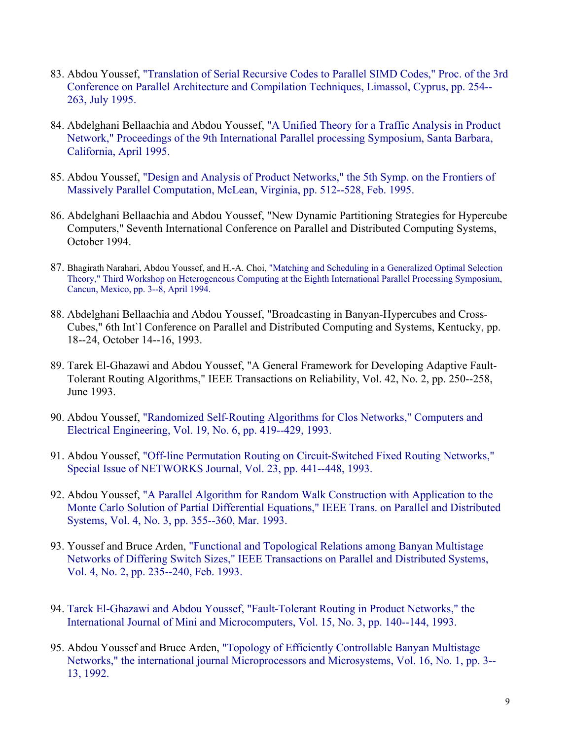- 83. Abdou Youssef, "Translation of Serial Recursive Codes to Parallel SIMD Codes," Proc. of the 3rd Conference on Parallel Architecture and Compilation Techniques, Limassol, Cyprus, pp. 254-- 263, July 1995.
- 84. Abdelghani Bellaachia and Abdou Youssef, "A Unified Theory for a Traffic Analysis in Product Network," Proceedings of the 9th International Parallel processing Symposium, Santa Barbara, California, April 1995.
- 85. Abdou Youssef, "Design and Analysis of Product Networks," the 5th Symp. on the Frontiers of Massively Parallel Computation, McLean, Virginia, pp. 512--528, Feb. 1995.
- 86. Abdelghani Bellaachia and Abdou Youssef, "New Dynamic Partitioning Strategies for Hypercube Computers," Seventh International Conference on Parallel and Distributed Computing Systems, October 1994.
- 87. Bhagirath Narahari, Abdou Youssef, and H.-A. Choi, "Matching and Scheduling in a Generalized Optimal Selection Theory," Third Workshop on Heterogeneous Computing at the Eighth International Parallel Processing Symposium, Cancun, Mexico, pp. 3--8, April 1994.
- 88. Abdelghani Bellaachia and Abdou Youssef, "Broadcasting in Banyan-Hypercubes and Cross-Cubes," 6th Int`l Conference on Parallel and Distributed Computing and Systems, Kentucky, pp. 18--24, October 14--16, 1993.
- 89. Tarek El-Ghazawi and Abdou Youssef, "A General Framework for Developing Adaptive Fault-Tolerant Routing Algorithms," IEEE Transactions on Reliability, Vol. 42, No. 2, pp. 250--258, June 1993.
- 90. Abdou Youssef, "Randomized Self-Routing Algorithms for Clos Networks," Computers and Electrical Engineering, Vol. 19, No. 6, pp. 419--429, 1993.
- 91. Abdou Youssef, "Off-line Permutation Routing on Circuit-Switched Fixed Routing Networks," Special Issue of NETWORKS Journal, Vol. 23, pp. 441--448, 1993.
- 92. Abdou Youssef, "A Parallel Algorithm for Random Walk Construction with Application to the Monte Carlo Solution of Partial Differential Equations," IEEE Trans. on Parallel and Distributed Systems, Vol. 4, No. 3, pp. 355--360, Mar. 1993.
- 93. Youssef and Bruce Arden, "Functional and Topological Relations among Banyan Multistage Networks of Differing Switch Sizes," IEEE Transactions on Parallel and Distributed Systems, Vol. 4, No. 2, pp. 235--240, Feb. 1993.
- 94. Tarek El-Ghazawi and Abdou Youssef, "Fault-Tolerant Routing in Product Networks," the International Journal of Mini and Microcomputers, Vol. 15, No. 3, pp. 140--144, 1993.
- 95. Abdou Youssef and Bruce Arden, "Topology of Efficiently Controllable Banyan Multistage Networks," the international journal Microprocessors and Microsystems, Vol. 16, No. 1, pp. 3-- 13, 1992.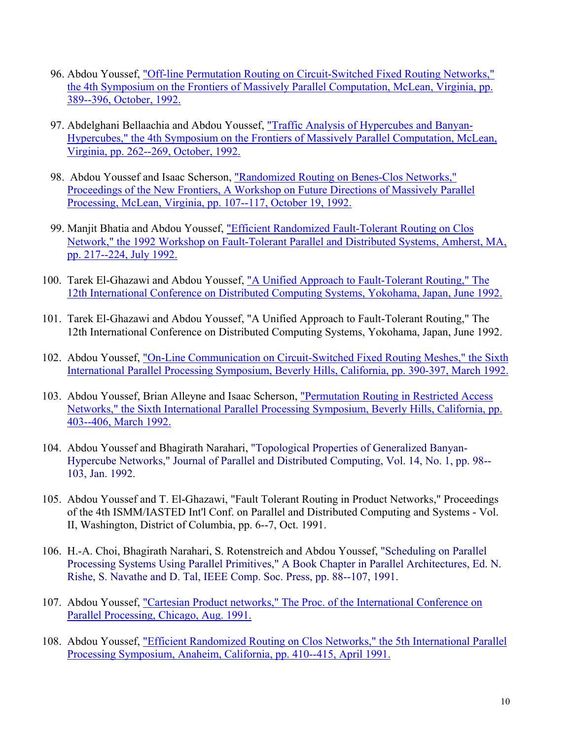- 96. Abdou Youssef, "Off-line Permutation Routing on Circuit-Switched Fixed Routing Networks," the 4th Symposium on the Frontiers of Massively Parallel Computation, McLean, Virginia, pp. 389--396, October, 1992.
- 97. Abdelghani Bellaachia and Abdou Youssef, "Traffic Analysis of Hypercubes and Banyan-Hypercubes," the 4th Symposium on the Frontiers of Massively Parallel Computation, McLean, Virginia, pp. 262--269, October, 1992.
- 98. Abdou Youssef and Isaac Scherson, "Randomized Routing on Benes-Clos Networks," Proceedings of the New Frontiers, A Workshop on Future Directions of Massively Parallel Processing, McLean, Virginia, pp. 107--117, October 19, 1992.
- 99. Manjit Bhatia and Abdou Youssef, "Efficient Randomized Fault-Tolerant Routing on Clos Network," the 1992 Workshop on Fault-Tolerant Parallel and Distributed Systems, Amherst, MA, pp. 217--224, July 1992.
- 100. Tarek El-Ghazawi and Abdou Youssef, "A Unified Approach to Fault-Tolerant Routing," The 12th International Conference on Distributed Computing Systems, Yokohama, Japan, June 1992.
- 101. Tarek El-Ghazawi and Abdou Youssef, "A Unified Approach to Fault-Tolerant Routing," The 12th International Conference on Distributed Computing Systems, Yokohama, Japan, June 1992.
- 102. Abdou Youssef, "On-Line Communication on Circuit-Switched Fixed Routing Meshes," the Sixth International Parallel Processing Symposium, Beverly Hills, California, pp. 390-397, March 1992.
- 103. Abdou Youssef, Brian Alleyne and Isaac Scherson, "Permutation Routing in Restricted Access Networks," the Sixth International Parallel Processing Symposium, Beverly Hills, California, pp. 403--406, March 1992.
- 104. Abdou Youssef and Bhagirath Narahari, "Topological Properties of Generalized Banyan-Hypercube Networks," Journal of Parallel and Distributed Computing, Vol. 14, No. 1, pp. 98-- 103, Jan. 1992.
- 105. Abdou Youssef and T. El-Ghazawi, "Fault Tolerant Routing in Product Networks," Proceedings of the 4th ISMM/IASTED Int'l Conf. on Parallel and Distributed Computing and Systems - Vol. II, Washington, District of Columbia, pp. 6--7, Oct. 1991.
- 106. H.-A. Choi, Bhagirath Narahari, S. Rotenstreich and Abdou Youssef, "Scheduling on Parallel Processing Systems Using Parallel Primitives," A Book Chapter in Parallel Architectures, Ed. N. Rishe, S. Navathe and D. Tal, IEEE Comp. Soc. Press, pp. 88--107, 1991.
- 107. Abdou Youssef, "Cartesian Product networks," The Proc. of the International Conference on Parallel Processing, Chicago, Aug. 1991.
- 108. Abdou Youssef, "Efficient Randomized Routing on Clos Networks," the 5th International Parallel Processing Symposium, Anaheim, California, pp. 410--415, April 1991.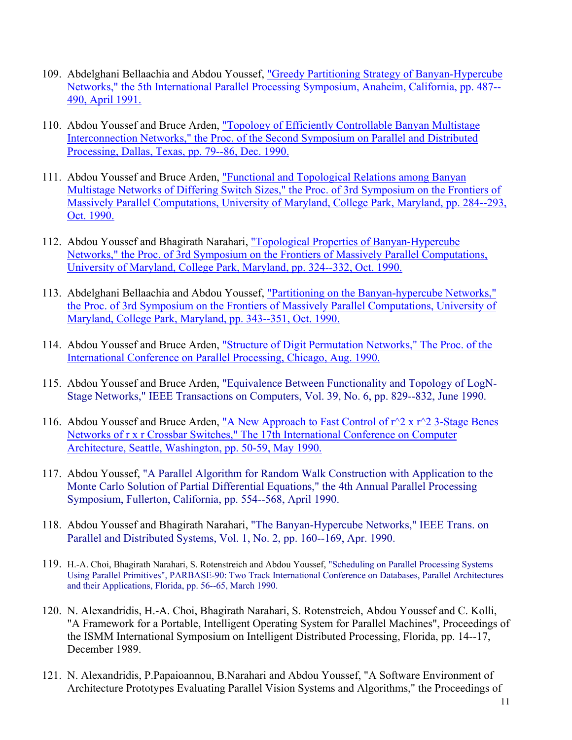- 109. Abdelghani Bellaachia and Abdou Youssef, "Greedy Partitioning Strategy of Banyan-Hypercube Networks," the 5th International Parallel Processing Symposium, Anaheim, California, pp. 487-- 490, April 1991.
- 110. Abdou Youssef and Bruce Arden, "Topology of Efficiently Controllable Banyan Multistage Interconnection Networks," the Proc. of the Second Symposium on Parallel and Distributed Processing, Dallas, Texas, pp. 79--86, Dec. 1990.
- 111. Abdou Youssef and Bruce Arden, "Functional and Topological Relations among Banyan Multistage Networks of Differing Switch Sizes," the Proc. of 3rd Symposium on the Frontiers of Massively Parallel Computations, University of Maryland, College Park, Maryland, pp. 284--293, Oct. 1990.
- 112. Abdou Youssef and Bhagirath Narahari, "Topological Properties of Banyan-Hypercube Networks," the Proc. of 3rd Symposium on the Frontiers of Massively Parallel Computations, University of Maryland, College Park, Maryland, pp. 324--332, Oct. 1990.
- 113. Abdelghani Bellaachia and Abdou Youssef, "Partitioning on the Banyan-hypercube Networks," the Proc. of 3rd Symposium on the Frontiers of Massively Parallel Computations, University of Maryland, College Park, Maryland, pp. 343--351, Oct. 1990.
- 114. Abdou Youssef and Bruce Arden, "Structure of Digit Permutation Networks," The Proc. of the International Conference on Parallel Processing, Chicago, Aug. 1990.
- 115. Abdou Youssef and Bruce Arden, "Equivalence Between Functionality and Topology of LogN-Stage Networks," IEEE Transactions on Computers, Vol. 39, No. 6, pp. 829--832, June 1990.
- 116. Abdou Youssef and Bruce Arden, "A New Approach to Fast Control of  $r^2$  x  $r^2$  3-Stage Benes Networks of r x r Crossbar Switches," The 17th International Conference on Computer Architecture, Seattle, Washington, pp. 50-59, May 1990.
- 117. Abdou Youssef, "A Parallel Algorithm for Random Walk Construction with Application to the Monte Carlo Solution of Partial Differential Equations," the 4th Annual Parallel Processing Symposium, Fullerton, California, pp. 554--568, April 1990.
- 118. Abdou Youssef and Bhagirath Narahari, "The Banyan-Hypercube Networks," IEEE Trans. on Parallel and Distributed Systems, Vol. 1, No. 2, pp. 160--169, Apr. 1990.
- 119. H.-A. Choi, Bhagirath Narahari, S. Rotenstreich and Abdou Youssef, "Scheduling on Parallel Processing Systems Using Parallel Primitives", PARBASE-90: Two Track International Conference on Databases, Parallel Architectures and their Applications, Florida, pp. 56--65, March 1990.
- 120. N. Alexandridis, H.-A. Choi, Bhagirath Narahari, S. Rotenstreich, Abdou Youssef and C. Kolli, "A Framework for a Portable, Intelligent Operating System for Parallel Machines", Proceedings of the ISMM International Symposium on Intelligent Distributed Processing, Florida, pp. 14--17, December 1989.
- 121. N. Alexandridis, P.Papaioannou, B.Narahari and Abdou Youssef, "A Software Environment of Architecture Prototypes Evaluating Parallel Vision Systems and Algorithms," the Proceedings of